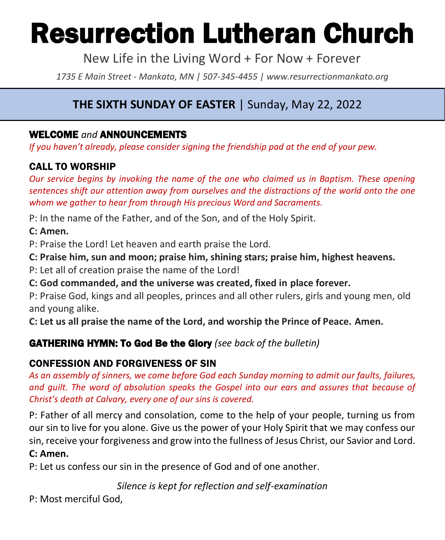# Resurrection Lutheran Church

New Life in the Living Word + For Now + Forever

*1735 E Main Street - Mankato, MN | 507-345-4455 | [www.resurrectionmankato.org](http://www.resurrectionmankato.org/)*

# **THE SIXTH SUNDAY OF EASTER** | Sunday, May 22, 2022

# WELCOME *and* ANNOUNCEMENTS

*If you haven't already, please consider signing the friendship pad at the end of your pew.* 

# CALL TO WORSHIP

*Our service begins by invoking the name of the one who claimed us in Baptism. These opening sentences shift our attention away from ourselves and the distractions of the world onto the one whom we gather to hear from through His precious Word and Sacraments.* 

P: In the name of the Father, and of the Son, and of the Holy Spirit.

#### **C: Amen.**

P: Praise the Lord! Let heaven and earth praise the Lord.

**C: Praise him, sun and moon; praise him, shining stars; praise him, highest heavens.**

P: Let all of creation praise the name of the Lord!

**C: God commanded, and the universe was created, fixed in place forever.**

P: Praise God, kings and all peoples, princes and all other rulers, girls and young men, old and young alike.

**C: Let us all praise the name of the Lord, and worship the Prince of Peace. Amen.**

# GATHERING HYMN: To God Be the Glory *(see back of the bulletin)*

## CONFESSION AND FORGIVENESS OF SIN

*As an assembly of sinners, we come before God each Sunday morning to admit our faults, failures, and guilt. The word of absolution speaks the Gospel into our ears and assures that because of Christ's death at Calvary, every one of our sins is covered.* 

P: Father of all mercy and consolation, come to the help of your people, turning us from our sin to live for you alone. Give us the power of your Holy Spirit that we may confess our sin, receive your forgiveness and grow into the fullness of Jesus Christ, our Savior and Lord. **C: Amen.** 

P: Let us confess our sin in the presence of God and of one another.

*Silence is kept for reflection and self-examination*

P: Most merciful God,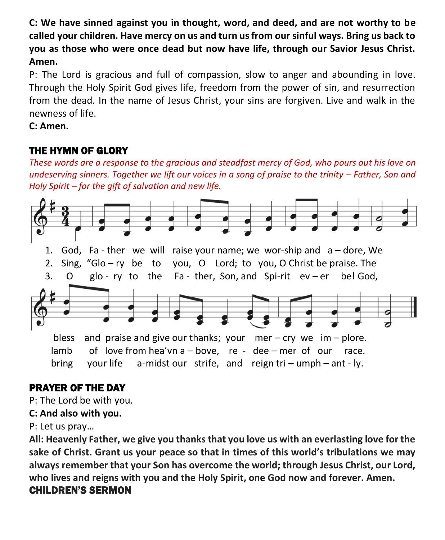**C: We have sinned against you in thought, word, and deed, and are not worthy to be called your children. Have mercy on us and turn us from our sinful ways. Bring us back to you as those who were once dead but now have life, through our Savior Jesus Christ. Amen.**

P: The Lord is gracious and full of compassion, slow to anger and abounding in love. Through the Holy Spirit God gives life, freedom from the power of sin, and resurrection from the dead. In the name of Jesus Christ, your sins are forgiven. Live and walk in the newness of life.

**C: Amen.** 

# THE HYMN OF GLORY

*These words are a response to the gracious and steadfast mercy of God, who pours out his love on undeserving sinners. Together we lift our voices in a song of praise to the trinity – Father, Son and Holy Spirit – for the gift of salvation and new life.* 



# PRAYER OF THE DAY

P: The Lord be with you.

**C: And also with you.**

P: Let us pray…

**All: Heavenly Father, we give you thanks that you love us with an everlasting love for the sake of Christ. Grant us your peace so that in times of this world's tribulations we may always remember that your Son has overcome the world; through Jesus Christ, our Lord, who lives and reigns with you and the Holy Spirit, one God now and forever. Amen.**

# CHILDREN'S SERMON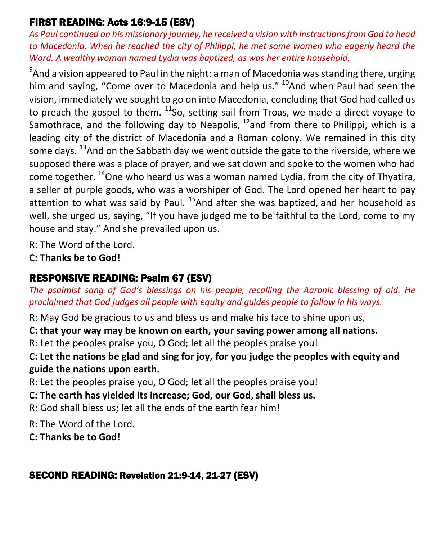# FIRST READING: Acts 16:9-15 (ESV)

*As Paul continued on his missionary journey, he received a vision with instructions from God to head*  to Macedonia. When he reached the city of Philippi, he met some women who eagerly heard the *Word. A wealthy woman named Lydia was baptized, as was her entire household.* 

 $^9$ And a vision appeared to Paul in the night: a man of Macedonia was standing there, urging him and saying, "Come over to Macedonia and help us." <sup>10</sup>And when Paul had seen the vision, immediately we sought to go on into Macedonia, concluding that God had called us to preach the gospel to them.  $^{11}$ So, setting sail from Troas, we made a direct voyage to Samothrace, and the following day to Neapolis,  $^{12}$  and from there to Philippi, which is a leading city of the district of Macedonia and a Roman colony. We remained in this city some days.  $^{13}$ And on the Sabbath day we went outside the gate to the riverside, where we supposed there was a place of prayer, and we sat down and spoke to the women who had come together.  $^{14}$ One who heard us was a woman named Lydia, from the city of Thyatira, a seller of purple goods, who was a worshiper of God. The Lord opened her heart to pay attention to what was said by Paul.  $^{15}$ And after she was baptized, and her household as well, she urged us, saying, "If you have judged me to be faithful to the Lord, come to my house and stay." And she prevailed upon us.

R: The Word of the Lord.

**C: Thanks be to God!** 

# RESPONSIVE READING: Psalm 67 (ESV)

*The psalmist sang of God's blessings on his people, recalling the Aaronic blessing of old. He proclaimed that God judges all people with equity and guides people to follow in his ways.* 

R: May God be gracious to us and bless us and make his face to shine upon us,

**C: that your way may be known on earth, your saving power among all nations.**

R: Let the peoples praise you, O God; let all the peoples praise you!

**C: Let the nations be glad and sing for joy, for you judge the peoples with equity and guide the nations upon earth.**

R: Let the peoples praise you, O God; let all the peoples praise you!

**C: The earth has yielded its increase; God, our God, shall bless us.**

R: God shall bless us; let all the ends of the earth fear him!

R: The Word of the Lord.

**C: Thanks be to God!** 

# SECOND READING: Revelation 21:9-14, 21-27 (ESV)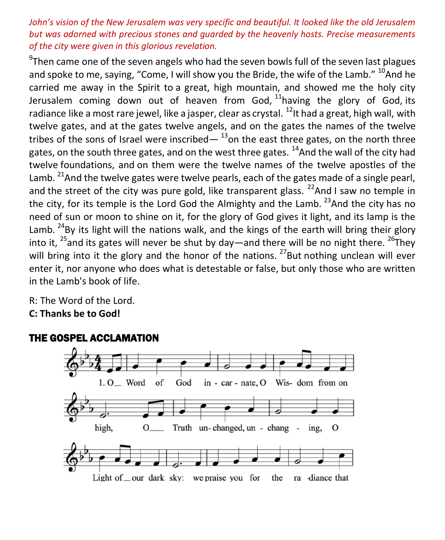#### *John's vision of the New Jerusalem was very specific and beautiful. It looked like the old Jerusalem but was adorned with precious stones and guarded by the heavenly hosts. Precise measurements of the city were given in this glorious revelation.*

 $9$ Then came one of the seven angels who had the seven bowls full of the seven last plagues and spoke to me, saying, "Come, I will show you the Bride, the wife of the Lamb."  $^{10}$ And he carried me away in the Spirit to a great, high mountain, and showed me the holy city Jerusalem coming down out of heaven from God,  $11$ having the glory of God, its radiance like a most rare jewel, like a jasper, clear as crystal. <sup>12</sup>It had a great, high wall, with twelve gates, and at the gates twelve angels, and on the gates the names of the twelve tribes of the sons of Israel were inscribed—  $^{13}$ on the east three gates, on the north three gates, on the south three gates, and on the west three gates.  $^{14}$ And the wall of the city had twelve foundations, and on them were the twelve names of the twelve apostles of the Lamb. <sup>21</sup>And the twelve gates were twelve pearls, each of the gates made of a single pearl, and the street of the city was pure gold, like transparent glass.  $^{22}$ And I saw no temple in the city, for its temple is the Lord God the Almighty and the Lamb.  $^{23}$ And the city has no need of sun or moon to shine on it, for the glory of God gives it light, and its lamp is the Lamb.  $24$ By its light will the nations walk, and the kings of the earth will bring their glory into it,  $^{25}$ and its gates will never be shut by day—and there will be no night there.  $^{26}$ They will bring into it the glory and the honor of the nations.  $^{27}$ But nothing unclean will ever enter it, nor anyone who does what is detestable or false, but only those who are written in the Lamb's book of life.

R: The Word of the Lord. **C: Thanks be to God!** 



#### THE GOSPEL ACCLAMATION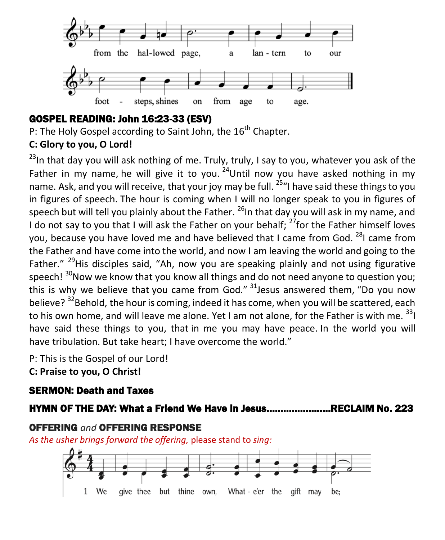

# GOSPEL READING: John 16:23-33 (ESV)

P: The Holy Gospel according to Saint John, the 16<sup>th</sup> Chapter.

# **C: Glory to you, O Lord!**

 $^{23}$ In that day you will ask nothing of me. Truly, truly, I say to you, whatever you ask of the Father in my name, he will give it to you.  $24$ Until now you have asked nothing in my name. Ask, and you will receive, that your joy may be full. <sup>25</sup> <sup>u</sup>l have said these things to you in figures of speech. The hour is coming when I will no longer speak to you in figures of speech but will tell you plainly about the Father.  $^{26}$ In that day you will ask in my name, and I do not say to you that I will ask the Father on your behalf;  $^{27}$  for the Father himself loves you, because you have loved me and have believed that I came from God.  $^{28}$ I came from the Father and have come into the world, and now I am leaving the world and going to the Father."  $^{29}$ His disciples said, "Ah, now you are speaking plainly and not using figurative speech!  $30$ Now we know that you know all things and do not need anyone to question you; this is why we believe that you came from God."  $31$  Jesus answered them, "Do you now believe? <sup>32</sup>Behold, the hour is coming, indeed it has come, when you will be scattered, each to his own home, and will leave me alone. Yet I am not alone, for the Father is with me.  $^{33}$ I have said these things to you, that in me you may have peace. In the world you will have tribulation. But take heart; I have overcome the world."

P: This is the Gospel of our Lord! **C: Praise to you, O Christ!** 

# SERMON: Death and Taxes

# HYMN OF THE DAY: What a Friend We Have in Jesus…………………..RECLAIM No. 223

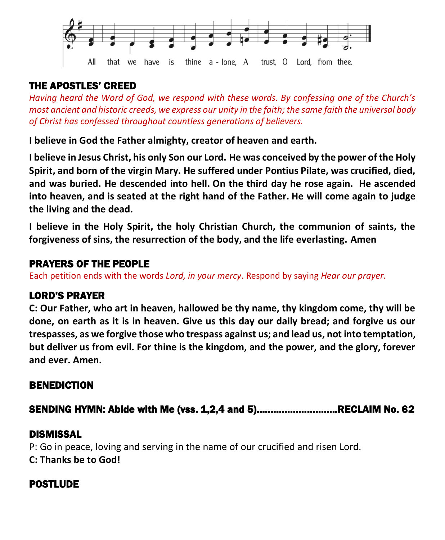

# THE APOSTLES' CREED

*Having heard the Word of God, we respond with these words. By confessing one of the Church's most ancient and historic creeds, we express our unity in the faith; the same faith the universal body of Christ has confessed throughout countless generations of believers.* 

**I believe in God the Father almighty, creator of heaven and earth.**

**I believe in Jesus Christ, his only Son our Lord. He was conceived by the power of the Holy Spirit, and born of the virgin Mary. He suffered under Pontius Pilate, was crucified, died, and was buried. He descended into hell. On the third day he rose again. He ascended into heaven, and is seated at the right hand of the Father. He will come again to judge the living and the dead.**

**I believe in the Holy Spirit, the holy Christian Church, the communion of saints, the forgiveness of sins, the resurrection of the body, and the life everlasting. Amen**

#### PRAYERS OF THE PEOPLE

Each petition ends with the words *Lord, in your mercy*. Respond by saying *Hear our prayer.*

## LORD'S PRAYER

**C: Our Father, who art in heaven, hallowed be thy name, thy kingdom come, thy will be done, on earth as it is in heaven. Give us this day our daily bread; and forgive us our trespasses, as we forgive those who trespass against us; and lead us, not into temptation, but deliver us from evil. For thine is the kingdom, and the power, and the glory, forever and ever. Amen.**

## BENEDICTION

SENDING HYMN: Abide with Me (vss. 1,2,4 and 5)………………………..RECLAIM No. 62

## DISMISSAL

P: Go in peace, loving and serving in the name of our crucified and risen Lord. **C: Thanks be to God!**

## POSTLUDE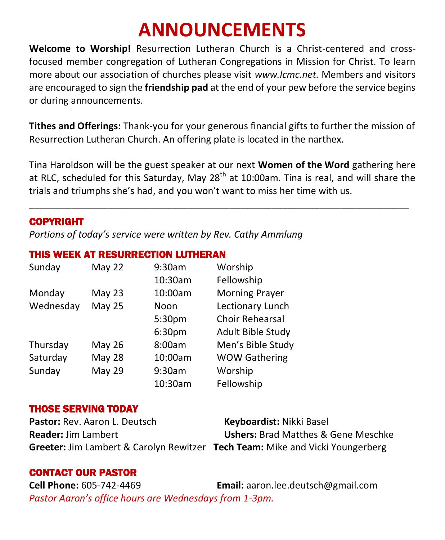# **ANNOUNCEMENTS**

**Welcome to Worship!** Resurrection Lutheran Church is a Christ-centered and crossfocused member congregation of Lutheran Congregations in Mission for Christ. To learn more about our association of churches please visit *[www.lcmc.net.](http://www.lcmc.net/)* Members and visitors are encouraged to sign the **friendship pad** at the end of your pew before the service begins or during announcements.

**Tithes and Offerings:** Thank-you for your generous financial gifts to further the mission of Resurrection Lutheran Church. An offering plate is located in the narthex.

Tina Haroldson will be the guest speaker at our next **Women of the Word** gathering here at RLC, scheduled for this Saturday, May 28<sup>th</sup> at 10:00am. Tina is real, and will share the trials and triumphs she's had, and you won't want to miss her time with us.

\_\_\_\_\_\_\_\_\_\_\_\_\_\_\_\_\_\_\_\_\_\_\_\_\_\_\_\_\_\_\_\_\_\_\_\_\_\_\_\_\_\_\_\_\_\_\_\_\_\_\_\_\_\_\_\_\_\_\_\_\_\_\_\_\_\_\_\_\_\_\_\_

#### COPYRIGHT

*Portions of today's service were written by Rev. Cathy Ammlung*

#### THIS WEEK AT RESURRECTION LUTHERAN

| Sunday    | May 22        | 9:30am  | Worship                  |
|-----------|---------------|---------|--------------------------|
|           |               | 10:30am | Fellowship               |
| Monday    | May 23        | 10:00am | <b>Morning Prayer</b>    |
| Wednesday | <b>May 25</b> | Noon    | Lectionary Lunch         |
|           |               | 5:30pm  | <b>Choir Rehearsal</b>   |
|           |               | 6:30pm  | <b>Adult Bible Study</b> |
| Thursday  | <b>May 26</b> | 8:00am  | Men's Bible Study        |
| Saturday  | <b>May 28</b> | 10:00am | <b>WOW Gathering</b>     |
| Sunday    | <b>May 29</b> | 9:30am  | Worship                  |
|           |               | 10:30am | Fellowship               |

#### THOSE SERVING TODAY

**Pastor:** Rev. Aaron L. Deutsch<br> **Keyboardist:** Nikki Basel **Reader:** Jim Lambert **Ushers:** Brad Matthes & Gene Meschke **Greeter:** Jim Lambert & Carolyn Rewitzer **Tech Team:** Mike and Vicki Youngerberg

#### CONTACT OUR PASTOR

**Cell Phone:** 605-742-4469 **Email:** [aaron.lee.deutsch@gmail.com](mailto:aaron.lee.deutsch@gmail.com) *Pastor Aaron's office hours are Wednesdays from 1-3pm.*